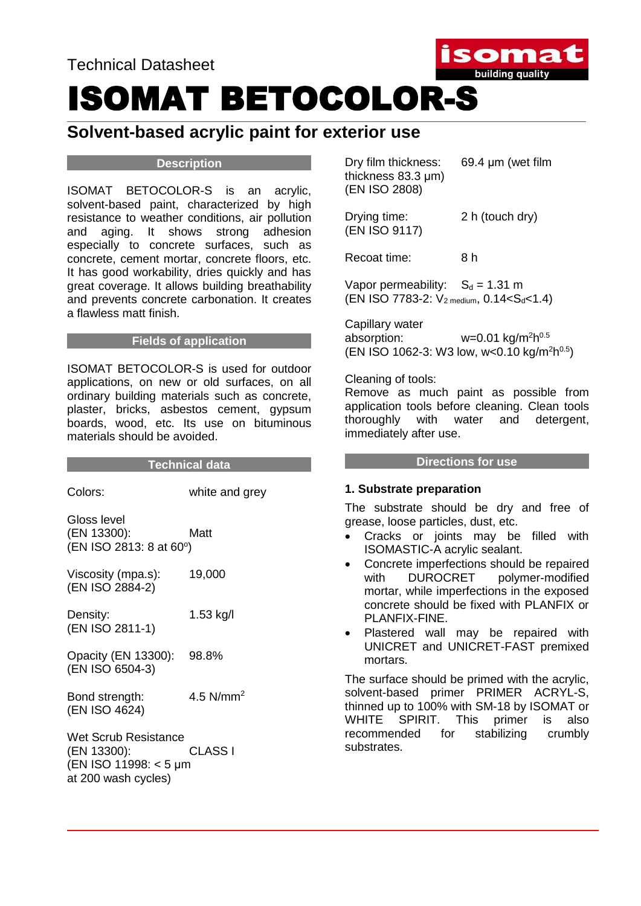

# ISOMAT BETOCOLOR-S

### **Solvent-based acrylic paint for exterior use**

#### **Description**

ISOMAT BETOCOLOR-S is an acrylic, solvent-based paint, characterized by high resistance to weather conditions, air pollution and aging. It shows strong adhesion especially to concrete surfaces, such as concrete, cement mortar, concrete floors, etc. It has good workability, dries quickly and has great coverage. It allows building breathability and prevents concrete carbonation. It creates a flawless matt finish.

#### **Fields of application**

ISOMAT BETOCOLOR-S is used for outdoor applications, on new or old surfaces, on all ordinary building materials such as concrete, plaster, bricks, asbestos cement, gypsum boards, wood, etc. Its use on bituminous materials should be avoided.

#### **Technical data**

| Colors:                                                                             | white and grey |
|-------------------------------------------------------------------------------------|----------------|
| Gloss level<br>(EN 13300):<br>(EN ISO 2813: 8 at 60°)                               | Matt           |
| Viscosity (mpa.s):<br>(EN ISO 2884-2)                                               | 19,000         |
| Density:<br>(EN ISO 2811-1)                                                         | 1.53 kg/l      |
| Opacity (EN 13300): 98.8%<br>(EN ISO 6504-3)                                        |                |
| Bond strength:<br>(EN ISO 4624)                                                     | 4.5 $N/mm2$    |
| Wet Scrub Resistance<br>(EN 13300):<br>(EN ISO 11998: < 5 µm<br>at 200 wash cycles) | CLASS I        |

Dry film thickness: 69.4 μm (wet film thickness 83.3 μm) (EN ISO 2808)

Drying time: 2 h (touch dry) (EN ISO 9117)

Recoat time: 8 h

Vapor permeability:  $S_d = 1.31$  m (EN ISO 7783-2:  $V_{2 \text{ medium}}$ , 0.14<S<sub>d</sub><1.4)

Capillary water absorption: w=0.01 kg/m<sup>2</sup>h<sup>0.5</sup> (EN ISO 1062-3: W3 low, w<0.10 kg/m<sup>2</sup>h<sup>0.5</sup>)

#### Cleaning of tools:

Remove as much paint as possible from application tools before cleaning. Clean tools thoroughly with water and detergent, immediately after use.

#### **Directions for use**

#### **1. Substrate preparation**

The substrate should be dry and free of grease, loose particles, dust, etc.

- Cracks or joints may be filled with ISOMASTIC-A acrylic sealant.
- Concrete imperfections should be repaired with DUROCRET polymer-modified mortar, while imperfections in the exposed concrete should be fixed with PLANFIX or PLANFIX-FINE.
- Plastered wall may be repaired with UNICRET and UNICRET-FAST premixed mortars.

The surface should be primed with the acrylic, solvent-based primer PRIMER ACRYL-S, thinned up to 100% with SM-18 by ISOMAT or WHITE SPIRIT. This primer is also recommended for stabilizing crumbly substrates.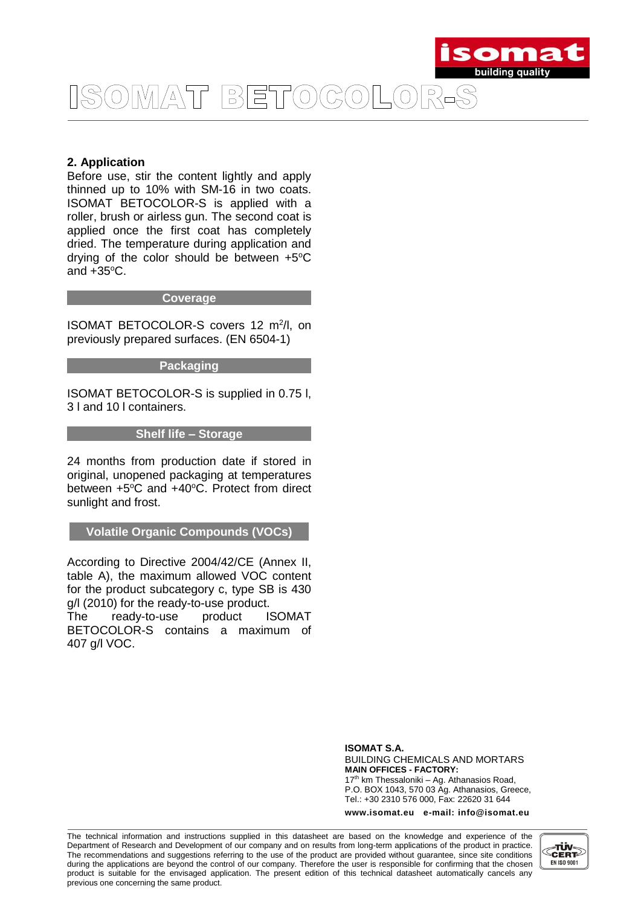

## ISOMAT BETOCOLOR-S

#### **2. Application**

Before use, stir the content lightly and apply thinned up to 10% with SM-16 in two coats. ISOMAT BETOCOLOR-S is applied with a roller, brush or airless gun. The second coat is applied once the first coat has completely dried. The temperature during application and drving of the color should be between  $+5^{\circ}$ C and  $+35^{\circ}$ C.

#### **Coverage**

ISOMAT BETOCOLOR-S covers 12 m<sup>2</sup>/l, on previously prepared surfaces. (EN 6504-1)

#### **Packaging**

ISOMAT BETOCOLOR-S is supplied in 0.75 l, 3 l and 10 l containers.

#### **Shelf life – Storage**

24 months from production date if stored in original, unopened packaging at temperatures between  $+5^{\circ}$ C and  $+40^{\circ}$ C. Protect from direct sunlight and frost.

**Volatile Organic Compounds (VOCs)**

According to Directive 2004/42/CE (Annex II, table A), the maximum allowed VOC content for the product subcategory c, type SB is 430 g/l (2010) for the ready-to-use product.

The ready-to-use product ISOMAT BETOCOLOR-S contains a maximum of 407 g/l VOC.

> **ISOMAT S.A.** BUILDING CHEMICALS AND MORTARS **MAIN OFFICES - FACTORY:** 17<sup>th</sup> km Thessaloniki - Ag. Athanasios Road, P.O. BOX 1043, 570 03 Ag. Athanasios, Greece, Tel.: +30 2310 576 000, Fax: 22620 31 644

> **www.isomat.eu e-mail: info@isomat.eu**

The technical information and instructions supplied in this datasheet are based on the knowledge and experience of the Department of Research and Development of our company and on results from long-term applications of the product in practice. The recommendations and suggestions referring to the use of the product are provided without guarantee, since site conditions during the applications are beyond the control of our company. Therefore the user is responsible for confirming that the chosen product is suitable for the envisaged application. The present edition of this technical datasheet automatically cancels any previous one concerning the same product.